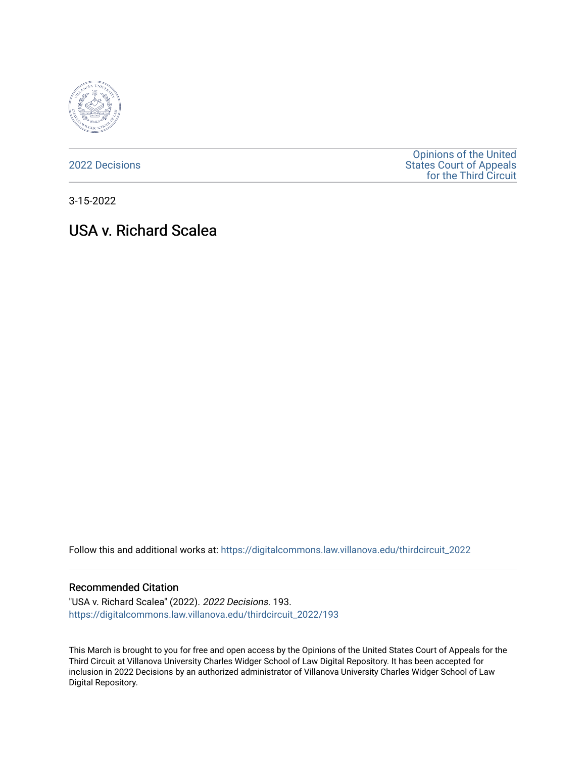

[2022 Decisions](https://digitalcommons.law.villanova.edu/thirdcircuit_2022)

[Opinions of the United](https://digitalcommons.law.villanova.edu/thirdcircuit)  [States Court of Appeals](https://digitalcommons.law.villanova.edu/thirdcircuit)  [for the Third Circuit](https://digitalcommons.law.villanova.edu/thirdcircuit) 

3-15-2022

# USA v. Richard Scalea

Follow this and additional works at: [https://digitalcommons.law.villanova.edu/thirdcircuit\\_2022](https://digitalcommons.law.villanova.edu/thirdcircuit_2022?utm_source=digitalcommons.law.villanova.edu%2Fthirdcircuit_2022%2F193&utm_medium=PDF&utm_campaign=PDFCoverPages) 

#### Recommended Citation

"USA v. Richard Scalea" (2022). 2022 Decisions. 193. [https://digitalcommons.law.villanova.edu/thirdcircuit\\_2022/193](https://digitalcommons.law.villanova.edu/thirdcircuit_2022/193?utm_source=digitalcommons.law.villanova.edu%2Fthirdcircuit_2022%2F193&utm_medium=PDF&utm_campaign=PDFCoverPages)

This March is brought to you for free and open access by the Opinions of the United States Court of Appeals for the Third Circuit at Villanova University Charles Widger School of Law Digital Repository. It has been accepted for inclusion in 2022 Decisions by an authorized administrator of Villanova University Charles Widger School of Law Digital Repository.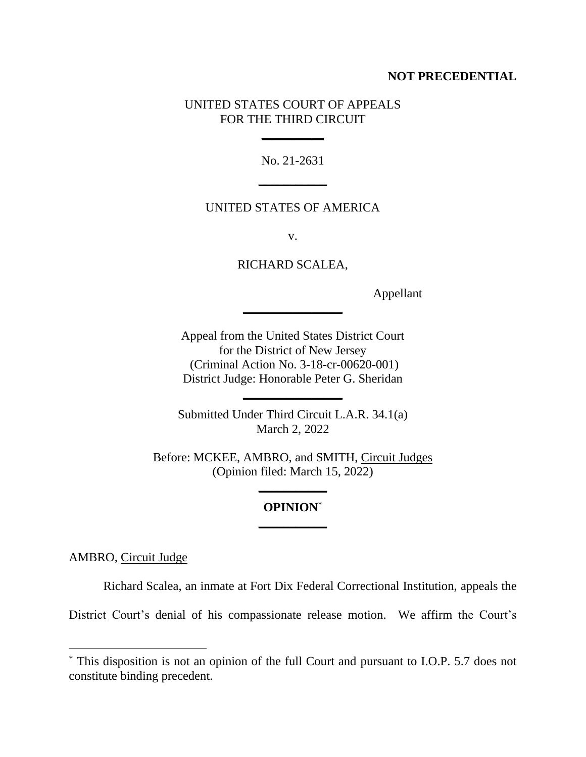### **NOT PRECEDENTIAL**

### UNITED STATES COURT OF APPEALS FOR THE THIRD CIRCUIT

**\_\_\_\_\_\_\_\_\_\_**

No. 21-2631 **\_\_\_\_\_\_\_\_\_\_\_**

### UNITED STATES OF AMERICA

v.

RICHARD SCALEA,

**\_\_\_\_\_\_\_\_\_\_\_\_\_\_\_\_**

Appellant

Appeal from the United States District Court for the District of New Jersey (Criminal Action No. 3-18-cr-00620-001) District Judge: Honorable Peter G. Sheridan

Submitted Under Third Circuit L.A.R. 34.1(a) March 2, 2022

**\_\_\_\_\_\_\_\_\_\_\_\_\_\_\_\_**

Before: MCKEE, AMBRO, and SMITH, Circuit Judges (Opinion filed: March 15, 2022)

## **OPINION**\* **\_\_\_\_\_\_\_\_\_\_\_**

**\_\_\_\_\_\_\_\_\_\_\_**

AMBRO, Circuit Judge

Richard Scalea, an inmate at Fort Dix Federal Correctional Institution, appeals the

District Court's denial of his compassionate release motion. We affirm the Court's

<sup>\*</sup> This disposition is not an opinion of the full Court and pursuant to I.O.P. 5.7 does not constitute binding precedent.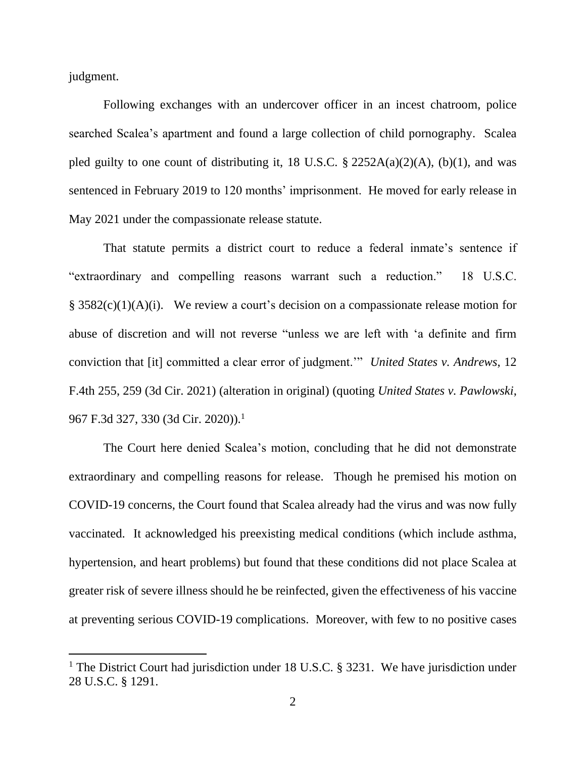judgment.

Following exchanges with an undercover officer in an incest chatroom, police searched Scalea's apartment and found a large collection of child pornography. Scalea pled guilty to one count of distributing it, 18 U.S.C.  $\S$  2252A(a)(2)(A), (b)(1), and was sentenced in February 2019 to 120 months' imprisonment. He moved for early release in May 2021 under the compassionate release statute.

That statute permits a district court to reduce a federal inmate's sentence if "extraordinary and compelling reasons warrant such a reduction." 18 U.S.C. § 3582(c)(1)(A)(i). We review a court's decision on a compassionate release motion for abuse of discretion and will not reverse "unless we are left with 'a definite and firm conviction that [it] committed a clear error of judgment.'" *United States v. Andrews*, 12 F.4th 255, 259 (3d Cir. 2021) (alteration in original) (quoting *United States v. Pawlowski*, 967 F.3d 327, 330 (3d Cir. 2020)).<sup>1</sup>

The Court here denied Scalea's motion, concluding that he did not demonstrate extraordinary and compelling reasons for release. Though he premised his motion on COVID-19 concerns, the Court found that Scalea already had the virus and was now fully vaccinated. It acknowledged his preexisting medical conditions (which include asthma, hypertension, and heart problems) but found that these conditions did not place Scalea at greater risk of severe illness should he be reinfected, given the effectiveness of his vaccine at preventing serious COVID-19 complications. Moreover, with few to no positive cases

<sup>&</sup>lt;sup>1</sup> The District Court had jurisdiction under 18 U.S.C. § 3231. We have jurisdiction under 28 U.S.C. § 1291.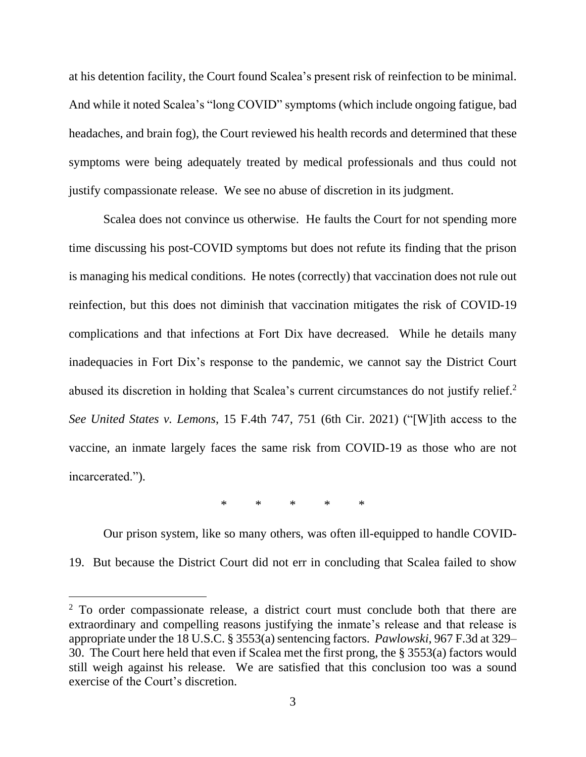at his detention facility, the Court found Scalea's present risk of reinfection to be minimal. And while it noted Scalea's "long COVID" symptoms (which include ongoing fatigue, bad headaches, and brain fog), the Court reviewed his health records and determined that these symptoms were being adequately treated by medical professionals and thus could not justify compassionate release. We see no abuse of discretion in its judgment.

Scalea does not convince us otherwise. He faults the Court for not spending more time discussing his post-COVID symptoms but does not refute its finding that the prison is managing his medical conditions. He notes (correctly) that vaccination does not rule out reinfection, but this does not diminish that vaccination mitigates the risk of COVID-19 complications and that infections at Fort Dix have decreased.While he details many inadequacies in Fort Dix's response to the pandemic, we cannot say the District Court abused its discretion in holding that Scalea's current circumstances do not justify relief. 2 *See United States v. Lemons*, 15 F.4th 747, 751 (6th Cir. 2021) ("[W]ith access to the vaccine, an inmate largely faces the same risk from COVID-19 as those who are not incarcerated.").

\* \* \* \* \*

Our prison system, like so many others, was often ill-equipped to handle COVID-19. But because the District Court did not err in concluding that Scalea failed to show

<sup>&</sup>lt;sup>2</sup> To order compassionate release, a district court must conclude both that there are extraordinary and compelling reasons justifying the inmate's release and that release is appropriate under the 18 U.S.C. § 3553(a) sentencing factors. *Pawlowski*, 967 F.3d at 329– 30. The Court here held that even if Scalea met the first prong, the § 3553(a) factors would still weigh against his release. We are satisfied that this conclusion too was a sound exercise of the Court's discretion.